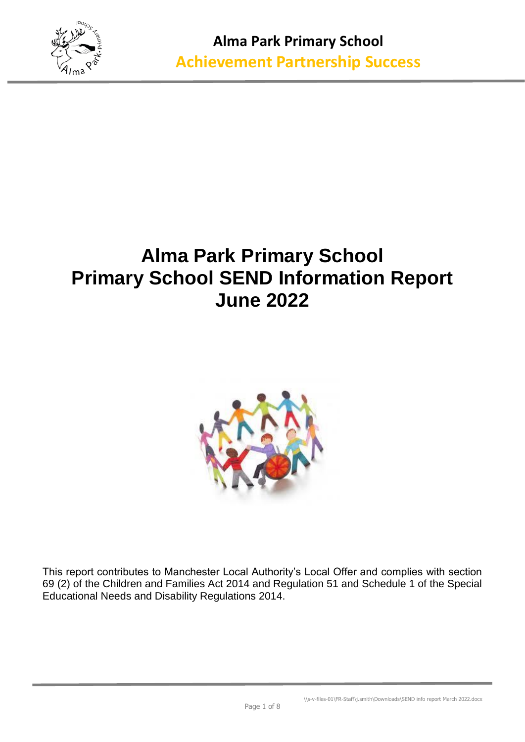

## **Alma Park Primary School Primary School SEND Information Report June 2022**



This report contributes to Manchester Local Authority's Local Offer and complies with section 69 (2) of the Children and Families Act 2014 and Regulation 51 and Schedule 1 of the Special Educational Needs and Disability Regulations 2014.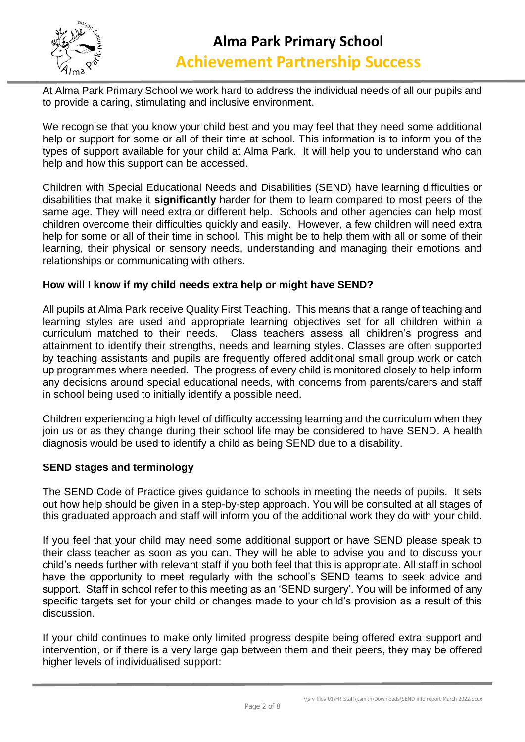

At Alma Park Primary School we work hard to address the individual needs of all our pupils and to provide a caring, stimulating and inclusive environment.

We recognise that you know your child best and you may feel that they need some additional help or support for some or all of their time at school. This information is to inform you of the types of support available for your child at Alma Park. It will help you to understand who can help and how this support can be accessed.

Children with Special Educational Needs and Disabilities (SEND) have learning difficulties or disabilities that make it **significantly** harder for them to learn compared to most peers of the same age. They will need extra or different help. Schools and other agencies can help most children overcome their difficulties quickly and easily. However, a few children will need extra help for some or all of their time in school. This might be to help them with all or some of their learning, their physical or sensory needs, understanding and managing their emotions and relationships or communicating with others.

#### **How will I know if my child needs extra help or might have SEND?**

All pupils at Alma Park receive Quality First Teaching. This means that a range of teaching and learning styles are used and appropriate learning objectives set for all children within a curriculum matched to their needs. Class teachers assess all children's progress and attainment to identify their strengths, needs and learning styles. Classes are often supported by teaching assistants and pupils are frequently offered additional small group work or catch up programmes where needed. The progress of every child is monitored closely to help inform any decisions around special educational needs, with concerns from parents/carers and staff in school being used to initially identify a possible need.

Children experiencing a high level of difficulty accessing learning and the curriculum when they join us or as they change during their school life may be considered to have SEND. A health diagnosis would be used to identify a child as being SEND due to a disability.

#### **SEND stages and terminology**

The SEND Code of Practice gives guidance to schools in meeting the needs of pupils. It sets out how help should be given in a step-by-step approach. You will be consulted at all stages of this graduated approach and staff will inform you of the additional work they do with your child.

If you feel that your child may need some additional support or have SEND please speak to their class teacher as soon as you can. They will be able to advise you and to discuss your child's needs further with relevant staff if you both feel that this is appropriate. All staff in school have the opportunity to meet regularly with the school's SEND teams to seek advice and support. Staff in school refer to this meeting as an 'SEND surgery'. You will be informed of any specific targets set for your child or changes made to your child's provision as a result of this discussion.

If your child continues to make only limited progress despite being offered extra support and intervention, or if there is a very large gap between them and their peers, they may be offered higher levels of individualised support: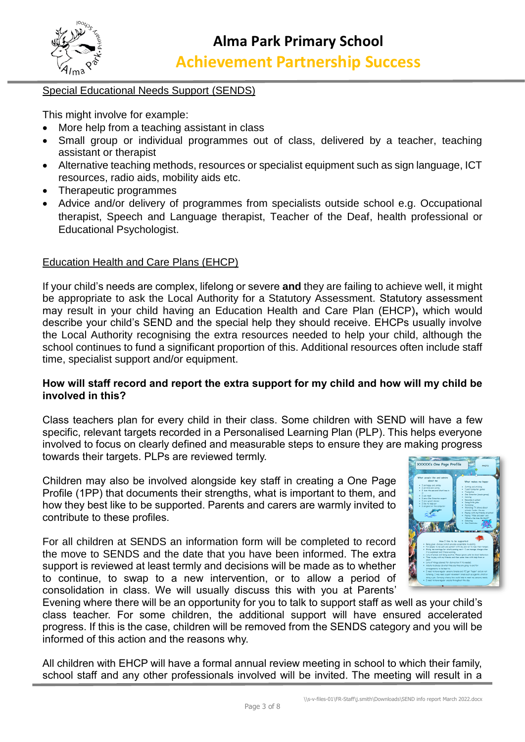

#### Special Educational Needs Support (SENDS)

This might involve for example:

- More help from a teaching assistant in class
- Small group or individual programmes out of class, delivered by a teacher, teaching assistant or therapist
- Alternative teaching methods, resources or specialist equipment such as sign language, ICT resources, radio aids, mobility aids etc.
- Therapeutic programmes
- Advice and/or delivery of programmes from specialists outside school e.g. Occupational therapist, Speech and Language therapist, Teacher of the Deaf, health professional or Educational Psychologist.

#### Education Health and Care Plans (EHCP)

If your child's needs are complex, lifelong or severe **and** they are failing to achieve well, it might be appropriate to ask the Local Authority for a Statutory Assessment. Statutory assessment may result in your child having an Education Health and Care Plan (EHCP)**,** which would describe your child's SEND and the special help they should receive. EHCPs usually involve the Local Authority recognising the extra resources needed to help your child, although the school continues to fund a significant proportion of this. Additional resources often include staff time, specialist support and/or equipment.

#### **How will staff record and report the extra support for my child and how will my child be involved in this?**

Class teachers plan for every child in their class. Some children with SEND will have a few specific, relevant targets recorded in a Personalised Learning Plan (PLP). This helps everyone involved to focus on clearly defined and measurable steps to ensure they are making progress towards their targets. PLPs are reviewed termly.

Children may also be involved alongside key staff in creating a One Page Profile (1PP) that documents their strengths, what is important to them, and how they best like to be supported. Parents and carers are warmly invited to contribute to these profiles.

For all children at SENDS an information form will be completed to record the move to SENDS and the date that you have been informed. The extra support is reviewed at least termly and decisions will be made as to whether to continue, to swap to a new intervention, or to allow a period of consolidation in class. We will usually discuss this with you at Parents'



Evening where there will be an opportunity for you to talk to support staff as well as your child's class teacher. For some children, the additional support will have ensured accelerated progress. If this is the case, children will be removed from the SENDS category and you will be informed of this action and the reasons why.

All children with EHCP will have a formal annual review meeting in school to which their family, school staff and any other professionals involved will be invited. The meeting will result in a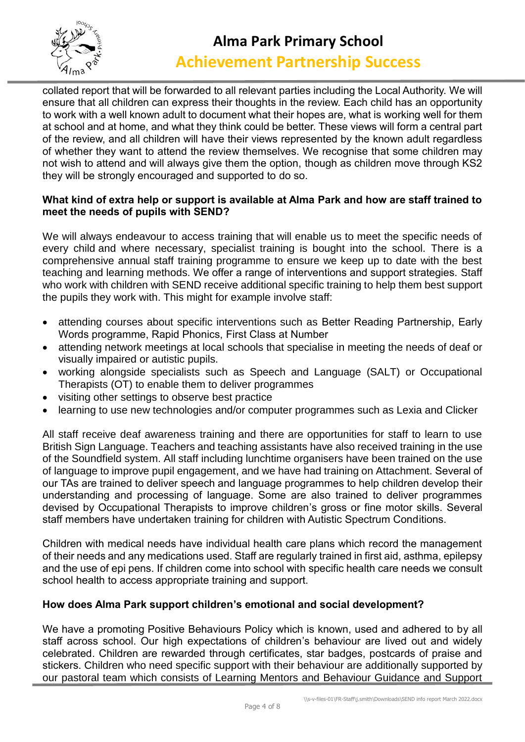

# **Alma Park Primary School**

### **Achievement Partnership Success**

collated report that will be forwarded to all relevant parties including the Local Authority. We will ensure that all children can express their thoughts in the review. Each child has an opportunity to work with a well known adult to document what their hopes are, what is working well for them at school and at home, and what they think could be better. These views will form a central part of the review, and all children will have their views represented by the known adult regardless of whether they want to attend the review themselves. We recognise that some children may not wish to attend and will always give them the option, though as children move through KS2 they will be strongly encouraged and supported to do so.

#### **What kind of extra help or support is available at Alma Park and how are staff trained to meet the needs of pupils with SEND?**

We will always endeavour to access training that will enable us to meet the specific needs of every child and where necessary, specialist training is bought into the school. There is a comprehensive annual staff training programme to ensure we keep up to date with the best teaching and learning methods. We offer a range of interventions and support strategies. Staff who work with children with SEND receive additional specific training to help them best support the pupils they work with. This might for example involve staff:

- attending courses about specific interventions such as Better Reading Partnership, Early Words programme, Rapid Phonics, First Class at Number
- attending network meetings at local schools that specialise in meeting the needs of deaf or visually impaired or autistic pupils.
- working alongside specialists such as Speech and Language (SALT) or Occupational Therapists (OT) to enable them to deliver programmes
- visiting other settings to observe best practice
- learning to use new technologies and/or computer programmes such as Lexia and Clicker

All staff receive deaf awareness training and there are opportunities for staff to learn to use British Sign Language. Teachers and teaching assistants have also received training in the use of the Soundfield system. All staff including lunchtime organisers have been trained on the use of language to improve pupil engagement, and we have had training on Attachment. Several of our TAs are trained to deliver speech and language programmes to help children develop their understanding and processing of language. Some are also trained to deliver programmes devised by Occupational Therapists to improve children's gross or fine motor skills. Several staff members have undertaken training for children with Autistic Spectrum Conditions.

Children with medical needs have individual health care plans which record the management of their needs and any medications used. Staff are regularly trained in first aid, asthma, epilepsy and the use of epi pens. If children come into school with specific health care needs we consult school health to access appropriate training and support.

#### **How does Alma Park support children's emotional and social development?**

We have a promoting Positive Behaviours Policy which is known, used and adhered to by all staff across school. Our high expectations of children's behaviour are lived out and widely celebrated. Children are rewarded through certificates, star badges, postcards of praise and stickers. Children who need specific support with their behaviour are additionally supported by our pastoral team which consists of Learning Mentors and Behaviour Guidance and Support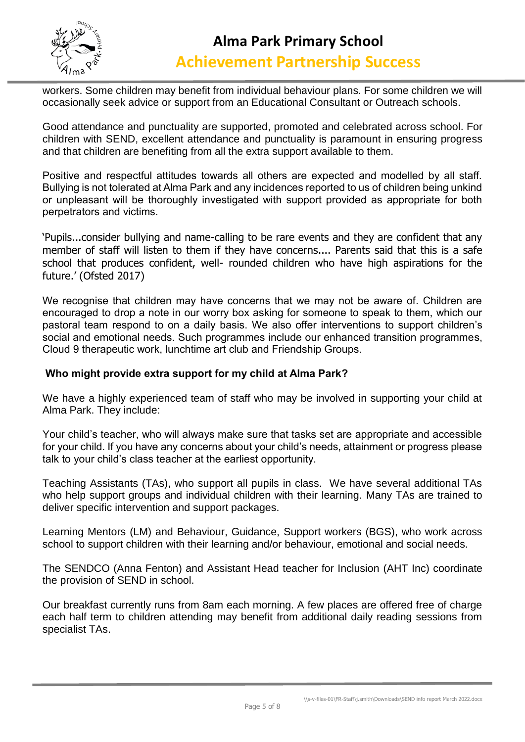

workers. Some children may benefit from individual behaviour plans. For some children we will occasionally seek advice or support from an Educational Consultant or Outreach schools.

Good attendance and punctuality are supported, promoted and celebrated across school. For children with SEND, excellent attendance and punctuality is paramount in ensuring progress and that children are benefiting from all the extra support available to them.

Positive and respectful attitudes towards all others are expected and modelled by all staff. Bullying is not tolerated at Alma Park and any incidences reported to us of children being unkind or unpleasant will be thoroughly investigated with support provided as appropriate for both perpetrators and victims.

'Pupils...consider bullying and name-calling to be rare events and they are confident that any member of staff will listen to them if they have concerns.... Parents said that this is a safe school that produces confident, well- rounded children who have high aspirations for the future.' (Ofsted 2017)

We recognise that children may have concerns that we may not be aware of. Children are encouraged to drop a note in our worry box asking for someone to speak to them, which our pastoral team respond to on a daily basis. We also offer interventions to support children's social and emotional needs. Such programmes include our enhanced transition programmes, Cloud 9 therapeutic work, lunchtime art club and Friendship Groups.

#### **Who might provide extra support for my child at Alma Park?**

We have a highly experienced team of staff who may be involved in supporting your child at Alma Park. They include:

Your child's teacher, who will always make sure that tasks set are appropriate and accessible for your child. If you have any concerns about your child's needs, attainment or progress please talk to your child's class teacher at the earliest opportunity.

Teaching Assistants (TAs), who support all pupils in class. We have several additional TAs who help support groups and individual children with their learning. Many TAs are trained to deliver specific intervention and support packages.

Learning Mentors (LM) and Behaviour, Guidance, Support workers (BGS), who work across school to support children with their learning and/or behaviour, emotional and social needs.

The SENDCO (Anna Fenton) and Assistant Head teacher for Inclusion (AHT Inc) coordinate the provision of SEND in school.

Our breakfast currently runs from 8am each morning. A few places are offered free of charge each half term to children attending may benefit from additional daily reading sessions from specialist TAs.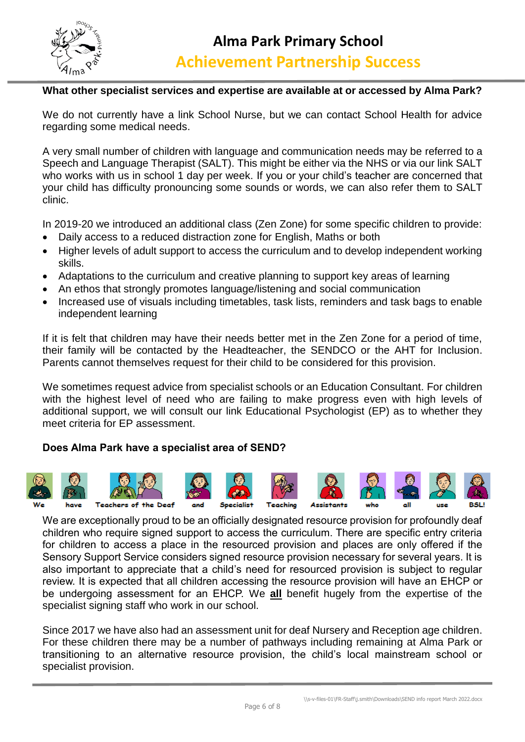

#### **What other specialist services and expertise are available at or accessed by Alma Park?**

We do not currently have a link School Nurse, but we can contact School Health for advice regarding some medical needs.

A very small number of children with language and communication needs may be referred to a Speech and Language Therapist (SALT). This might be either via the NHS or via our link SALT who works with us in school 1 day per week. If you or your child's teacher are concerned that your child has difficulty pronouncing some sounds or words, we can also refer them to SALT clinic.

In 2019-20 we introduced an additional class (Zen Zone) for some specific children to provide:

- Daily access to a reduced distraction zone for English, Maths or both
- Higher levels of adult support to access the curriculum and to develop independent working skills.
- Adaptations to the curriculum and creative planning to support key areas of learning
- An ethos that strongly promotes language/listening and social communication
- Increased use of visuals including timetables, task lists, reminders and task bags to enable independent learning

If it is felt that children may have their needs better met in the Zen Zone for a period of time, their family will be contacted by the Headteacher, the SENDCO or the AHT for Inclusion. Parents cannot themselves request for their child to be considered for this provision.

We sometimes request advice from specialist schools or an Education Consultant. For children with the highest level of need who are failing to make progress even with high levels of additional support, we will consult our link Educational Psychologist (EP) as to whether they meet criteria for EP assessment.

#### **Does Alma Park have a specialist area of SEND?**



We are exceptionally proud to be an officially designated resource provision for profoundly deaf children who require signed support to access the curriculum. There are specific entry criteria for children to access a place in the resourced provision and places are only offered if the Sensory Support Service considers signed resource provision necessary for several years. It is also important to appreciate that a child's need for resourced provision is subject to regular review. It is expected that all children accessing the resource provision will have an EHCP or be undergoing assessment for an EHCP. We **all** benefit hugely from the expertise of the specialist signing staff who work in our school.

Since 2017 we have also had an assessment unit for deaf Nursery and Reception age children. For these children there may be a number of pathways including remaining at Alma Park or transitioning to an alternative resource provision, the child's local mainstream school or specialist provision.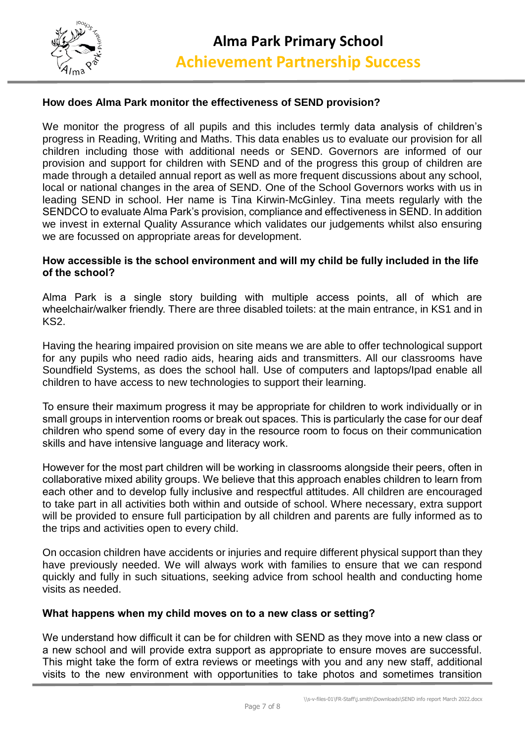

#### **How does Alma Park monitor the effectiveness of SEND provision?**

We monitor the progress of all pupils and this includes termly data analysis of children's progress in Reading, Writing and Maths. This data enables us to evaluate our provision for all children including those with additional needs or SEND. Governors are informed of our provision and support for children with SEND and of the progress this group of children are made through a detailed annual report as well as more frequent discussions about any school, local or national changes in the area of SEND. One of the School Governors works with us in leading SEND in school. Her name is Tina Kirwin-McGinley. Tina meets regularly with the SENDCO to evaluate Alma Park's provision, compliance and effectiveness in SEND. In addition we invest in external Quality Assurance which validates our judgements whilst also ensuring we are focussed on appropriate areas for development.

#### **How accessible is the school environment and will my child be fully included in the life of the school?**

Alma Park is a single story building with multiple access points, all of which are wheelchair/walker friendly. There are three disabled toilets: at the main entrance, in KS1 and in KS2.

Having the hearing impaired provision on site means we are able to offer technological support for any pupils who need radio aids, hearing aids and transmitters. All our classrooms have Soundfield Systems, as does the school hall. Use of computers and laptops/Ipad enable all children to have access to new technologies to support their learning.

To ensure their maximum progress it may be appropriate for children to work individually or in small groups in intervention rooms or break out spaces. This is particularly the case for our deaf children who spend some of every day in the resource room to focus on their communication skills and have intensive language and literacy work.

However for the most part children will be working in classrooms alongside their peers, often in collaborative mixed ability groups. We believe that this approach enables children to learn from each other and to develop fully inclusive and respectful attitudes. All children are encouraged to take part in all activities both within and outside of school. Where necessary, extra support will be provided to ensure full participation by all children and parents are fully informed as to the trips and activities open to every child.

On occasion children have accidents or injuries and require different physical support than they have previously needed. We will always work with families to ensure that we can respond quickly and fully in such situations, seeking advice from school health and conducting home visits as needed.

#### **What happens when my child moves on to a new class or setting?**

We understand how difficult it can be for children with SEND as they move into a new class or a new school and will provide extra support as appropriate to ensure moves are successful. This might take the form of extra reviews or meetings with you and any new staff, additional visits to the new environment with opportunities to take photos and sometimes transition